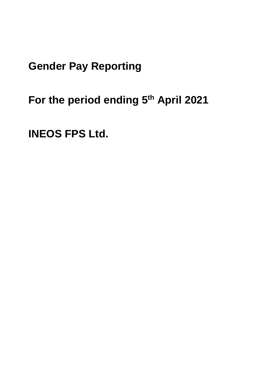**Gender Pay Reporting**

**For the period ending 5th April 2021**

**INEOS FPS Ltd.**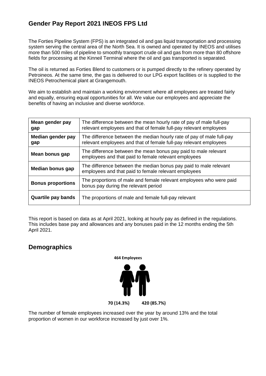# **Gender Pay Report 2021 INEOS FPS Ltd**

The Forties Pipeline System (FPS) is an integrated oil and gas liquid transportation and processing system serving the central area of the North Sea. It is owned and operated by INEOS and utilises more than 500 miles of pipeline to smoothly transport crude oil and gas from more than 80 offshore fields for processing at the Kinneil Terminal where the oil and gas transported is separated.

The oil is returned as Forties Blend to customers or is pumped directly to the refinery operated by Petroineos. At the same time, the gas is delivered to our LPG export facilities or is supplied to the INEOS Petrochemical plant at Grangemouth.

We aim to establish and maintain a working environment where all employees are treated fairly and equally, ensuring equal opportunities for all. We value our employees and appreciate the benefits of having an inclusive and diverse workforce.

| Mean gender pay<br>gap    | The difference between the mean hourly rate of pay of male full-pay<br>relevant employees and that of female full-pay relevant employees   |  |
|---------------------------|--------------------------------------------------------------------------------------------------------------------------------------------|--|
| Median gender pay<br>gap  | The difference between the median hourly rate of pay of male full-pay<br>relevant employees and that of female full-pay relevant employees |  |
| Mean bonus gap            | The difference between the mean bonus pay paid to male relevant<br>employees and that paid to female relevant employees                    |  |
| Median bonus gap          | The difference between the median bonus pay paid to male relevant<br>employees and that paid to female relevant employees                  |  |
| <b>Bonus proportions</b>  | The proportions of male and female relevant employees who were paid<br>bonus pay during the relevant period                                |  |
| <b>Quartile pay bands</b> | The proportions of male and female full-pay relevant                                                                                       |  |

This report is based on data as at April 2021, looking at hourly pay as defined in the regulations. This includes base pay and allowances and any bonuses paid in the 12 months ending the 5th April 2021.

#### **Demographics**



The number of female employees increased over the year by around 13% and the total proportion of women in our workforce increased by just over 1%.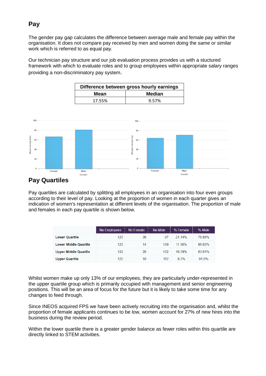# **Pay**

The gender pay gap calculates the difference between average male and female pay within the organisation. It does not compare pay received by men and women doing the same or similar work which is referred to as equal pay.

Our technician pay structure and our job evaluation process provides us with a stuctured framework with which to evaluate roles and to group employees within appropriate salary ranges providing a non-discriminatory pay system.

| Difference between gross hourly earnings |               |  |  |  |
|------------------------------------------|---------------|--|--|--|
| Mean                                     | <b>Median</b> |  |  |  |
| 17.55%                                   | 9.57%         |  |  |  |



## **Pay Quartiles**

Pay quartiles are calculated by splitting all employees in an organisation into four even groups according to their level of pay. Looking at the proportion of women in each quarter gives an indication of women's representation at different levels of the organisation. The proportion of male and females in each pay quartile is shown below.

|                              | No Employees | No Female | No Male | % Female | % Male |
|------------------------------|--------------|-----------|---------|----------|--------|
| <b>Lower Quartile</b>        | 123          | 26        | 97      | 2114%    | 78.86% |
| <b>Lower Middle Quartile</b> | 123          | 14        | 109     | 11 38%   | 88.62% |
| <b>Upper Middle Quartile</b> | 122          | 20        | 102     | 16 39%   | 83.61% |
| <b>Upper Quartile</b>        | 122          | 10        | 112     | 82%      | 91 8%  |

Whilst women make up only 13% of our employees, they are particularly under-represented in the upper quartile group which is primarily occupied with management and senior engineering positions. This will be an area of focus for the future but it is likely to take some time for any changes to feed through.

Since INEOS acquired FPS we have been actively recruiting into the organisation and, whilst the proportion of female applicants continues to be low, women account for 27% of new hires into the business during the review period.

Within the lower quartile there is a greater gender balance as fewer roles within this quartile are directly linked to STEM activities.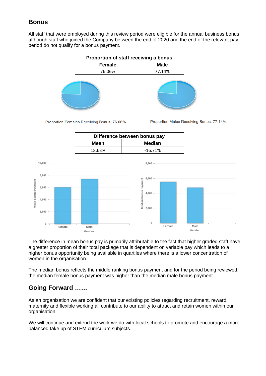## **Bonus**

All staff that were employed during this review period were eligible for the annual business bonus although staff who joined the Company between the end of 2020 and the end of the relevant pay period do not qualify for a bonus payment.

| Proportion of staff receiving a bonus |             |  |  |
|---------------------------------------|-------------|--|--|
| <b>Female</b>                         | <b>Male</b> |  |  |
| 76.06%                                | 77.14%      |  |  |
|                                       |             |  |  |

Proportion Females Receiving Bonus: 76.06%

Proportion Males Receiving Bonus: 77.14%

| Difference between bonus pay |               |  |  |  |
|------------------------------|---------------|--|--|--|
| Mean                         | <b>Median</b> |  |  |  |
| 18.63%                       | $-16.71%$     |  |  |  |



The difference in mean bonus pay is primarily attributable to the fact that higher graded staff have a greater proportion of their total package that is dependent on variable pay which leads to a higher bonus opportunity being available in quartiles where there is a lower concentration of women in the organisation.

The median bonus reflects the middle ranking bonus payment and for the period being reviewed, the median female bonus payment was higher than the median male bonus payment.

## **Going Forward ……**

As an organisation we are confident that our existing policies regarding recruitment, reward, maternity and flexible working all contribute to our ability to attract and retain women within our organisation.

We will continue and extend the work we do with local schools to promote and encourage a more balanced take up of STEM curriculum subjects.